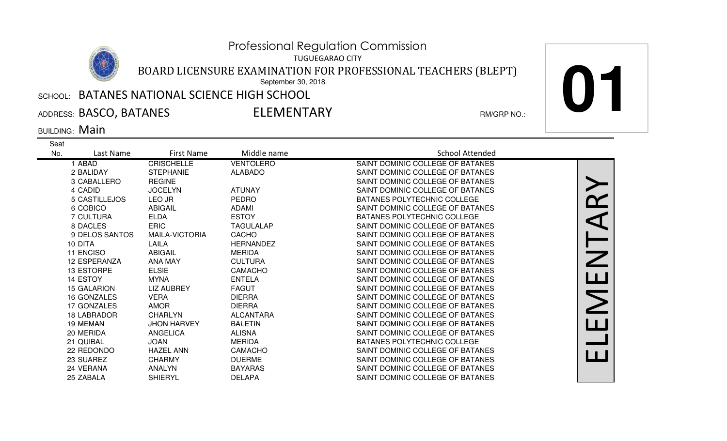TUGUEGARAO CITY

BOARD LICENSURE EXAMINATION FOR PROFESSIONAL TEACHERS (BLEPT)

September 30, 2018

## $\,$ ՏСНООԼ։ <code>BATANES</code> NATIONAL SCIENCE HIGH SCHOOL

ADDRESS: BASCO, BATANES RM/GRP NO.:

ELEMENTARY

**01**

BUILDING: Main

| Seat |                    |                       |                  |                                    |  |
|------|--------------------|-----------------------|------------------|------------------------------------|--|
| No.  | Last Name          | First Name            | Middle name      | <b>School Attended</b>             |  |
|      | 1 ABAD             | <b>CRISCHELLE</b>     | <b>VENTOLERO</b> | SAINT DOMINIC COLLEGE OF BATANES   |  |
|      | 2 BALIDAY          | <b>STEPHANIE</b>      | <b>ALABADO</b>   | SAINT DOMINIC COLLEGE OF BATANES   |  |
|      | 3 CABALLERO        | <b>REGINE</b>         |                  | SAINT DOMINIC COLLEGE OF BATANES   |  |
|      | 4 CADID            | <b>JOCELYN</b>        | <b>ATUNAY</b>    | SAINT DOMINIC COLLEGE OF BATANES   |  |
|      | 5 CASTILLEJOS      | LEO JR                | <b>PEDRO</b>     | BATANES POLYTECHNIC COLLEGE        |  |
|      | 6 COBICO           | <b>ABIGAIL</b>        | <b>ADAMI</b>     | SAINT DOMINIC COLLEGE OF BATANES   |  |
|      | <b>7 CULTURA</b>   | <b>ELDA</b>           | <b>ESTOY</b>     | BATANES POLYTECHNIC COLLEGE        |  |
|      | 8 DACLES           | <b>ERIC</b>           | <b>TAGULALAP</b> | SAINT DOMINIC COLLEGE OF BATANES   |  |
|      | 9 DELOS SANTOS     | <b>MAILA-VICTORIA</b> | <b>CACHO</b>     | SAINT DOMINIC COLLEGE OF BATANES   |  |
|      | 10 DITA            | LAILA                 | <b>HERNANDEZ</b> | SAINT DOMINIC COLLEGE OF BATANES   |  |
|      | 11 ENCISO          | <b>ABIGAIL</b>        | <b>MERIDA</b>    | SAINT DOMINIC COLLEGE OF BATANES   |  |
|      | 12 ESPERANZA       | <b>ANA MAY</b>        | <b>CULTURA</b>   | SAINT DOMINIC COLLEGE OF BATANES   |  |
|      | 13 ESTORPE         | <b>ELSIE</b>          | CAMACHO          | SAINT DOMINIC COLLEGE OF BATANES   |  |
|      | 14 ESTOY           | <b>MYNA</b>           | <b>ENTELA</b>    | SAINT DOMINIC COLLEGE OF BATANES   |  |
|      | <b>15 GALARION</b> | <b>LIZ AUBREY</b>     | <b>FAGUT</b>     | SAINT DOMINIC COLLEGE OF BATANES   |  |
|      | 16 GONZALES        | <b>VERA</b>           | <b>DIERRA</b>    | SAINT DOMINIC COLLEGE OF BATANES   |  |
|      | 17 GONZALES        | <b>AMOR</b>           | <b>DIERRA</b>    | SAINT DOMINIC COLLEGE OF BATANES   |  |
|      | <b>18 LABRADOR</b> | <b>CHARLYN</b>        | <b>ALCANTARA</b> | SAINT DOMINIC COLLEGE OF BATANES   |  |
|      | 19 MEMAN           | <b>JHON HARVEY</b>    | <b>BALETIN</b>   | SAINT DOMINIC COLLEGE OF BATANES   |  |
|      | 20 MERIDA          | <b>ANGELICA</b>       | <b>ALISNA</b>    | SAINT DOMINIC COLLEGE OF BATANES   |  |
|      | 21 QUIBAL          | <b>JOAN</b>           | <b>MERIDA</b>    | <b>BATANES POLYTECHNIC COLLEGE</b> |  |
|      | 22 REDONDO         | <b>HAZEL ANN</b>      | <b>CAMACHO</b>   | SAINT DOMINIC COLLEGE OF BATANES   |  |
|      | 23 SUAREZ          | <b>CHARMY</b>         | <b>DUERME</b>    | SAINT DOMINIC COLLEGE OF BATANES   |  |
|      | 24 VERANA          | <b>ANALYN</b>         | <b>BAYARAS</b>   | SAINT DOMINIC COLLEGE OF BATANES   |  |
|      | 25 ZABALA          | <b>SHIERYL</b>        | <b>DELAPA</b>    | SAINT DOMINIC COLLEGE OF BATANES   |  |
|      |                    |                       |                  |                                    |  |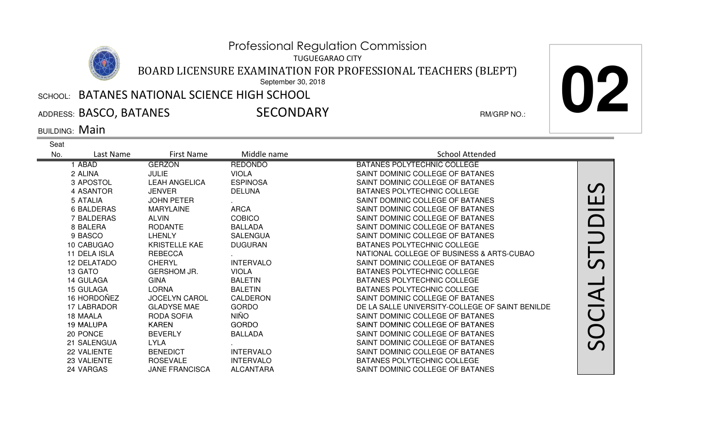TUGUEGARAO CITY

BOARD LICENSURE EXAMINATION FOR PROFESSIONAL TEACHERS (BLEPT)

September 30, 2018

## $\,$ ՏСНООԼ։ <code>BATANES</code> NATIONAL SCIENCE HIGH SCHOOL

ADDRESS: BASCO, BATANES RM/GRP NO.:

**SECONDARY** 

**02**

BUILDING: Main

| Seat |                   |                       |                  |                                                 |                            |
|------|-------------------|-----------------------|------------------|-------------------------------------------------|----------------------------|
| No.  | Last Name         | First Name            | Middle name      | <b>School Attended</b>                          |                            |
|      | 1 ABAD            | <b>GERZON</b>         | <b>REDONDO</b>   | BATANES POLYTECHNIC COLLEGE                     |                            |
|      | 2 ALINA           | <b>JULIE</b>          | <b>VIOLA</b>     | SAINT DOMINIC COLLEGE OF BATANES                |                            |
|      | 3 APOSTOL         | <b>LEAH ANGELICA</b>  | <b>ESPINOSA</b>  | SAINT DOMINIC COLLEGE OF BATANES                |                            |
|      | 4 ASANTOR         | <b>JENVER</b>         | <b>DELUNA</b>    | BATANES POLYTECHNIC COLLEGE                     | $\bm{\mathcal{C}}$         |
|      | 5 ATALIA          | <b>JOHN PETER</b>     |                  | SAINT DOMINIC COLLEGE OF BATANES                | <u>ப</u>                   |
|      | <b>6 BALDERAS</b> | <b>MARYLAINE</b>      | <b>ARCA</b>      | SAINT DOMINIC COLLEGE OF BATANES                |                            |
|      | 7 BALDERAS        | <b>ALVIN</b>          | <b>COBICO</b>    | SAINT DOMINIC COLLEGE OF BATANES                |                            |
|      | 8 BALERA          | <b>RODANTE</b>        | <b>BALLADA</b>   | SAINT DOMINIC COLLEGE OF BATANES                |                            |
|      | 9 BASCO           | LHENLY                | <b>SALENGUA</b>  | SAINT DOMINIC COLLEGE OF BATANES                |                            |
|      | 10 CABUGAO        | <b>KRISTELLE KAE</b>  | <b>DUGURAN</b>   | <b>BATANES POLYTECHNIC COLLEGE</b>              |                            |
|      | 11 DELA ISLA      | <b>REBECCA</b>        |                  | NATIONAL COLLEGE OF BUSINESS & ARTS-CUBAO       |                            |
|      | 12 DELATADO       | <b>CHERYL</b>         | <b>INTERVALO</b> | SAINT DOMINIC COLLEGE OF BATANES                | $\boldsymbol{\mathcal{C}}$ |
|      | 13 GATO           | <b>GERSHOM JR.</b>    | <b>VIOLA</b>     | BATANES POLYTECHNIC COLLEGE                     |                            |
|      | 14 GULAGA         | <b>GINA</b>           | <b>BALETIN</b>   | BATANES POLYTECHNIC COLLEGE                     |                            |
|      | 15 GULAGA         | <b>LORNA</b>          | <b>BALETIN</b>   | BATANES POLYTECHNIC COLLEGE                     | $\blacktriangleleft$       |
|      | 16 HORDOÑEZ       | <b>JOCELYN CAROL</b>  | CALDERON         | SAINT DOMINIC COLLEGE OF BATANES                |                            |
|      | 17 LABRADOR       | <b>GLADYSE MAE</b>    | <b>GORDO</b>     | DE LA SALLE UNIVERSITY-COLLEGE OF SAINT BENILDE |                            |
|      | 18 MAALA          | RODA SOFIA            | <b>NIÑO</b>      | SAINT DOMINIC COLLEGE OF BATANES                | $\overline{C}$             |
|      | <b>19 MALUPA</b>  | <b>KAREN</b>          | <b>GORDO</b>     | SAINT DOMINIC COLLEGE OF BATANES                |                            |
|      | 20 PONCE          | <b>BEVERLY</b>        | <b>BALLADA</b>   | SAINT DOMINIC COLLEGE OF BATANES                |                            |
|      | 21 SALENGUA       | <b>LYLA</b>           |                  | SAINT DOMINIC COLLEGE OF BATANES                | $\boldsymbol{\mathcal{C}}$ |
|      | 22 VALIENTE       | <b>BENEDICT</b>       | <b>INTERVALO</b> | SAINT DOMINIC COLLEGE OF BATANES                |                            |
|      | 23 VALIENTE       | <b>ROSEVALE</b>       | <b>INTERVALO</b> | BATANES POLYTECHNIC COLLEGE                     |                            |
|      | 24 VARGAS         | <b>JANE FRANCISCA</b> | <b>ALCANTARA</b> | SAINT DOMINIC COLLEGE OF BATANES                |                            |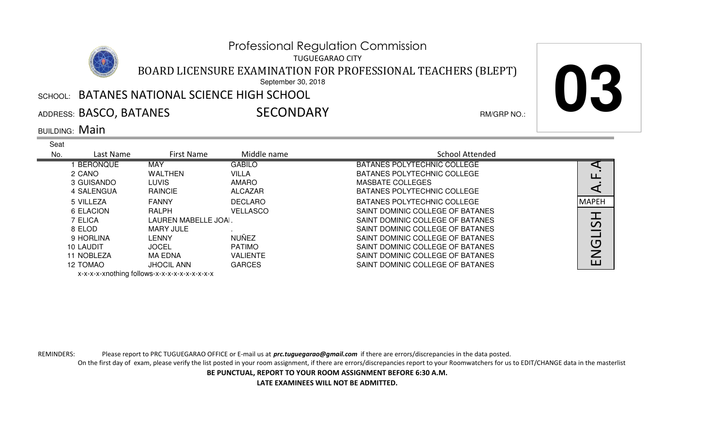TUGUEGARAO CITY

BOARD LICENSURE EXAMINATION FOR PROFESSIONAL TEACHERS (BLEPT)

September 30, 2018

## $\,$ ՏСНООԼ։ <code>BATANES</code> NATIONAL SCIENCE HIGH SCHOOL

ADDRESS: BASCO, BATANES RM/GRP NO.:

**SECONDARY** 

**03**

BUILDING: Main

| Seat |                                 |                                                                                                  |                 |                                  |                |
|------|---------------------------------|--------------------------------------------------------------------------------------------------|-----------------|----------------------------------|----------------|
| No.  | Last Name                       | <b>First Name</b>                                                                                | Middle name     | School Attended                  |                |
|      | <b>BERONQUE</b>                 | MAY                                                                                              | <b>GABILO</b>   | BATANES POLYTECHNIC COLLEGE      |                |
|      | 2 CANO                          | WALTHEN                                                                                          | <b>VILLA</b>    | BATANES POLYTECHNIC COLLEGE      | ப              |
|      | 3 GUISANDO                      | <b>LUVIS</b>                                                                                     | <b>AMARO</b>    | MASBATE COLLEGES                 |                |
|      | 4 SALENGUA                      | RAINCIE                                                                                          | ALCAZAR         | BATANES POLYTECHNIC COLLEGE      |                |
|      | 5 VILLEZA                       | <b>FANNY</b>                                                                                     | <b>DECLARO</b>  | BATANES POLYTECHNIC COLLEGE      | MAPEH          |
|      | 6 ELACION                       | RALPH                                                                                            | <b>VELLASCO</b> | SAINT DOMINIC COLLEGE OF BATANES |                |
|      | 7 ELICA<br>LAUREN MABELLE JOAI. |                                                                                                  |                 | SAINT DOMINIC COLLEGE OF BATANES | $\mathcal{L}$  |
|      | 8 ELOD                          | MARY JULE                                                                                        |                 | SAINT DOMINIC COLLEGE OF BATANES |                |
|      | 9 HORLINA                       | LENNY                                                                                            | <b>NUÑEZ</b>    | SAINT DOMINIC COLLEGE OF BATANES |                |
|      | 10 LAUDIT                       | <b>JOCEL</b>                                                                                     | <b>PATIMO</b>   | SAINT DOMINIC COLLEGE OF BATANES | $\overline{C}$ |
|      | 11 NOBLEZA                      | MA EDNA                                                                                          | <b>VALIENTE</b> | SAINT DOMINIC COLLEGE OF BATANES |                |
|      | 12 TOMAO                        | <b>JHOCIL ANN</b>                                                                                | <b>GARCES</b>   | SAINT DOMINIC COLLEGE OF BATANES | ப              |
|      |                                 | والمناور والمناور والمناور والمناور والمتحال المتعالم المتحال المتحدث والمناور والمناور والمناور |                 |                                  |                |

x-x-x-x-xnothing follows-x-x-x-x-x-x-x-x-x-x

REMINDERS: Please report to PRC TUGUEGARAO OFFICE or E-mail us at *prc.tuguegarao@gmail.com* if there are errors/discrepancies in the data posted.

On the first day of exam, please verify the list posted in your room assignment, if there are errors/discrepancies report to your Roomwatchers for us to EDIT/CHANGE data in the masterlist

**BE PUNCTUAL, REPORT TO YOUR ROOM ASSIGNMENT BEFORE 6:30 A.M.**

**LATE EXAMINEES WILL NOT BE ADMITTED.**